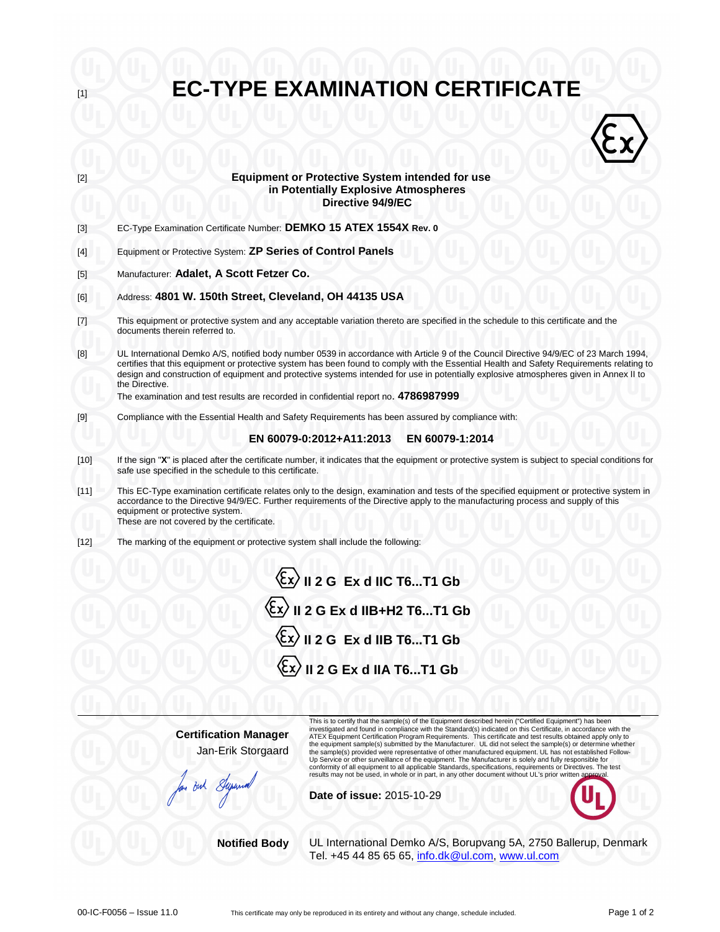| $[1]$                                                                                                                                                                                                                                                                                                                                                                                                                                                                                                  |                                                                                                                                                                                                                                                                                                                                                                                                                                                | <b>EC-TYPE EXAMINATION CERTIFICATE</b>                                                                                                                                                                                                                                                                                                                                                                                                                                                                                                                                                                                                                                             |  |
|--------------------------------------------------------------------------------------------------------------------------------------------------------------------------------------------------------------------------------------------------------------------------------------------------------------------------------------------------------------------------------------------------------------------------------------------------------------------------------------------------------|------------------------------------------------------------------------------------------------------------------------------------------------------------------------------------------------------------------------------------------------------------------------------------------------------------------------------------------------------------------------------------------------------------------------------------------------|------------------------------------------------------------------------------------------------------------------------------------------------------------------------------------------------------------------------------------------------------------------------------------------------------------------------------------------------------------------------------------------------------------------------------------------------------------------------------------------------------------------------------------------------------------------------------------------------------------------------------------------------------------------------------------|--|
|                                                                                                                                                                                                                                                                                                                                                                                                                                                                                                        |                                                                                                                                                                                                                                                                                                                                                                                                                                                |                                                                                                                                                                                                                                                                                                                                                                                                                                                                                                                                                                                                                                                                                    |  |
|                                                                                                                                                                                                                                                                                                                                                                                                                                                                                                        |                                                                                                                                                                                                                                                                                                                                                                                                                                                |                                                                                                                                                                                                                                                                                                                                                                                                                                                                                                                                                                                                                                                                                    |  |
| [2]                                                                                                                                                                                                                                                                                                                                                                                                                                                                                                    | <b>Equipment or Protective System intended for use</b><br>in Potentially Explosive Atmospheres<br>Directive 94/9/EC                                                                                                                                                                                                                                                                                                                            |                                                                                                                                                                                                                                                                                                                                                                                                                                                                                                                                                                                                                                                                                    |  |
| $[3]$                                                                                                                                                                                                                                                                                                                                                                                                                                                                                                  | EC-Type Examination Certificate Number: DEMKO 15 ATEX 1554X Rev. 0                                                                                                                                                                                                                                                                                                                                                                             |                                                                                                                                                                                                                                                                                                                                                                                                                                                                                                                                                                                                                                                                                    |  |
| $[4]$                                                                                                                                                                                                                                                                                                                                                                                                                                                                                                  | Equipment or Protective System: ZP Series of Control Panels                                                                                                                                                                                                                                                                                                                                                                                    |                                                                                                                                                                                                                                                                                                                                                                                                                                                                                                                                                                                                                                                                                    |  |
| [5]                                                                                                                                                                                                                                                                                                                                                                                                                                                                                                    | Manufacturer: Adalet, A Scott Fetzer Co.                                                                                                                                                                                                                                                                                                                                                                                                       |                                                                                                                                                                                                                                                                                                                                                                                                                                                                                                                                                                                                                                                                                    |  |
| [6]                                                                                                                                                                                                                                                                                                                                                                                                                                                                                                    | Address: 4801 W. 150th Street, Cleveland, OH 44135 USA                                                                                                                                                                                                                                                                                                                                                                                         |                                                                                                                                                                                                                                                                                                                                                                                                                                                                                                                                                                                                                                                                                    |  |
| $[7] \centering% \includegraphics[width=1\textwidth]{images/TransY.pdf} \caption{The first two different values of $d=3$ and $d=1$ (left) and $d=1$ (right) and $d=1$ (right) and $d=1$ (right) and $d=1$ (right) and $d=1$ (right) and $d=1$ (right) and $d=1$ (right) and $d=1$ (right) and $d=1$ (right) and $d=1$ (right) and $d=1$ (right) and $d=1$ (right) and $d=1$ (right) and $d=1$ (right) and $d=1$ (right) and $d=1$ (right) and $d=1$ (right) and $d=1$ (right) and $d=1$ (right) and $$ | This equipment or protective system and any acceptable variation thereto are specified in the schedule to this certificate and the<br>documents therein referred to.                                                                                                                                                                                                                                                                           |                                                                                                                                                                                                                                                                                                                                                                                                                                                                                                                                                                                                                                                                                    |  |
| [8]                                                                                                                                                                                                                                                                                                                                                                                                                                                                                                    | UL International Demko A/S, notified body number 0539 in accordance with Article 9 of the Council Directive 94/9/EC of 23 March 1994,<br>certifies that this equipment or protective system has been found to comply with the Essential Health and Safety Requirements relating to<br>design and construction of equipment and protective systems intended for use in potentially explosive atmospheres given in Annex II to<br>the Directive. |                                                                                                                                                                                                                                                                                                                                                                                                                                                                                                                                                                                                                                                                                    |  |
|                                                                                                                                                                                                                                                                                                                                                                                                                                                                                                        | The examination and test results are recorded in confidential report no. 4786987999                                                                                                                                                                                                                                                                                                                                                            |                                                                                                                                                                                                                                                                                                                                                                                                                                                                                                                                                                                                                                                                                    |  |
| $[9]$                                                                                                                                                                                                                                                                                                                                                                                                                                                                                                  | Compliance with the Essential Health and Safety Requirements has been assured by compliance with:                                                                                                                                                                                                                                                                                                                                              |                                                                                                                                                                                                                                                                                                                                                                                                                                                                                                                                                                                                                                                                                    |  |
|                                                                                                                                                                                                                                                                                                                                                                                                                                                                                                        |                                                                                                                                                                                                                                                                                                                                                                                                                                                | EN 60079-0:2012+A11:2013<br>EN 60079-1:2014                                                                                                                                                                                                                                                                                                                                                                                                                                                                                                                                                                                                                                        |  |
| $[10]$                                                                                                                                                                                                                                                                                                                                                                                                                                                                                                 | If the sign "X" is placed after the certificate number, it indicates that the equipment or protective system is subject to special conditions for<br>safe use specified in the schedule to this certificate.                                                                                                                                                                                                                                   |                                                                                                                                                                                                                                                                                                                                                                                                                                                                                                                                                                                                                                                                                    |  |
| $[11]$                                                                                                                                                                                                                                                                                                                                                                                                                                                                                                 | This EC-Type examination certificate relates only to the design, examination and tests of the specified equipment or protective system in<br>accordance to the Directive 94/9/EC. Further requirements of the Directive apply to the manufacturing process and supply of this<br>equipment or protective system.                                                                                                                               |                                                                                                                                                                                                                                                                                                                                                                                                                                                                                                                                                                                                                                                                                    |  |
| $[12]$                                                                                                                                                                                                                                                                                                                                                                                                                                                                                                 | These are not covered by the certificate.<br>The marking of the equipment or protective system shall include the following:                                                                                                                                                                                                                                                                                                                    |                                                                                                                                                                                                                                                                                                                                                                                                                                                                                                                                                                                                                                                                                    |  |
|                                                                                                                                                                                                                                                                                                                                                                                                                                                                                                        |                                                                                                                                                                                                                                                                                                                                                                                                                                                | $\overline{\mathbb{\mathbb{E}}\mathbb{X}}$ II 2 G Ex d IIC T6T1 Gb                                                                                                                                                                                                                                                                                                                                                                                                                                                                                                                                                                                                                 |  |
|                                                                                                                                                                                                                                                                                                                                                                                                                                                                                                        |                                                                                                                                                                                                                                                                                                                                                                                                                                                | $\langle \xi_{\text{X}} \rangle$ II 2 G Ex d IIB+H2 T6T1 Gb                                                                                                                                                                                                                                                                                                                                                                                                                                                                                                                                                                                                                        |  |
|                                                                                                                                                                                                                                                                                                                                                                                                                                                                                                        | $\langle \xi$ x $\rangle$ II 2 G Ex d IIB T6T1 Gb                                                                                                                                                                                                                                                                                                                                                                                              |                                                                                                                                                                                                                                                                                                                                                                                                                                                                                                                                                                                                                                                                                    |  |
|                                                                                                                                                                                                                                                                                                                                                                                                                                                                                                        |                                                                                                                                                                                                                                                                                                                                                                                                                                                | $\langle \xi$ x $\rangle$ II 2 G Ex d IIA T6T1 Gb                                                                                                                                                                                                                                                                                                                                                                                                                                                                                                                                                                                                                                  |  |
|                                                                                                                                                                                                                                                                                                                                                                                                                                                                                                        |                                                                                                                                                                                                                                                                                                                                                                                                                                                |                                                                                                                                                                                                                                                                                                                                                                                                                                                                                                                                                                                                                                                                                    |  |
|                                                                                                                                                                                                                                                                                                                                                                                                                                                                                                        | <b>Certification Manager</b><br>Jan-Erik Storgaard                                                                                                                                                                                                                                                                                                                                                                                             | This is to certify that the sample(s) of the Equipment described herein ("Certified Equipment") has been<br>investigated and found in compliance with the Standard(s) indicated on this Certificate, in accordance with the<br>ATEX Equipment Certification Program Requirements. This certificate and test results obtained apply only to<br>the equipment sample(s) submitted by the Manufacturer. UL did not select the sample(s) or determine whether<br>the sample(s) provided were representative of other manufactured equipment. UL has not established Follow-<br>Up Service or other surveillance of the equipment. The Manufacturer is solely and fully responsible for |  |
|                                                                                                                                                                                                                                                                                                                                                                                                                                                                                                        | But Super                                                                                                                                                                                                                                                                                                                                                                                                                                      | conformity of all equipment to all applicable Standards, specifications, requirements or Directives. The test<br>results may not be used, in whole or in part, in any other document without UL's prior written approval.<br>Date of issue: 2015-10-29                                                                                                                                                                                                                                                                                                                                                                                                                             |  |
|                                                                                                                                                                                                                                                                                                                                                                                                                                                                                                        | <b>Notified Body</b>                                                                                                                                                                                                                                                                                                                                                                                                                           | UL International Demko A/S, Borupvang 5A, 2750 Ballerup, Denmark<br>Tel. +45 44 85 65 65, info.dk@ul.com, www.ul.com                                                                                                                                                                                                                                                                                                                                                                                                                                                                                                                                                               |  |